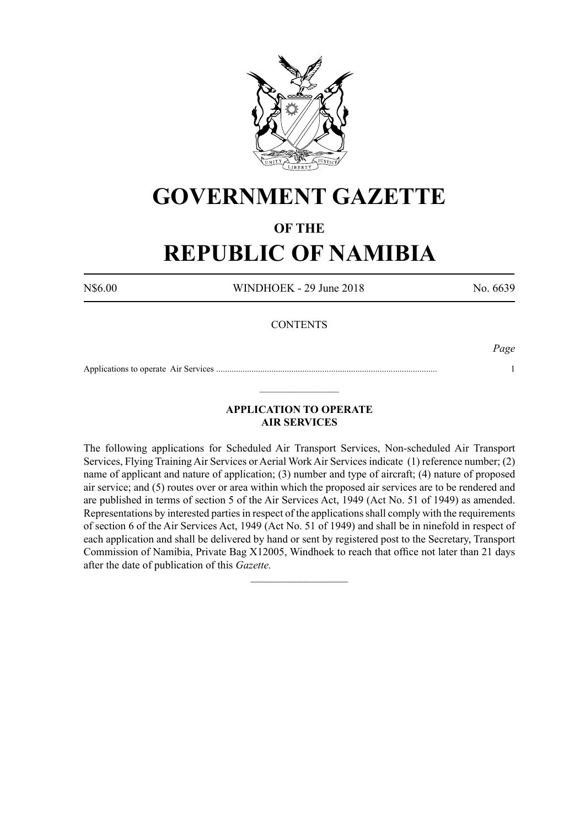

# **GOVERNMENT GAZETTE**

# **OF THE**

# **REPUBLIC OF NAMIBIA**

N\$6.00 WINDHOEK - 29 June 2018 No. 6639

### **CONTENTS**

*Page*

Applications to operate Air Services .................................................................................................... 1  $\_$ 

## **APPLICATION TO OPERATE AIR SERVICES**

The following applications for Scheduled Air Transport Services, Non-scheduled Air Transport Services, Flying Training Air Services or Aerial Work Air Services indicate (1) reference number; (2) name of applicant and nature of application; (3) number and type of aircraft; (4) nature of proposed air service; and (5) routes over or area within which the proposed air services are to be rendered and are published in terms of section 5 of the Air Services Act, 1949 (Act No. 51 of 1949) as amended. Representations by interested parties in respect of the applications shall comply with the requirements of section 6 of the Air Services Act, 1949 (Act No. 51 of 1949) and shall be in ninefold in respect of each application and shall be delivered by hand or sent by registered post to the Secretary, Transport Commission of Namibia, Private Bag X12005, Windhoek to reach that office not later than 21 days after the date of publication of this *Gazette.*

 $\frac{1}{2}$  ,  $\frac{1}{2}$  ,  $\frac{1}{2}$  ,  $\frac{1}{2}$  ,  $\frac{1}{2}$  ,  $\frac{1}{2}$  ,  $\frac{1}{2}$  ,  $\frac{1}{2}$  ,  $\frac{1}{2}$  ,  $\frac{1}{2}$  ,  $\frac{1}{2}$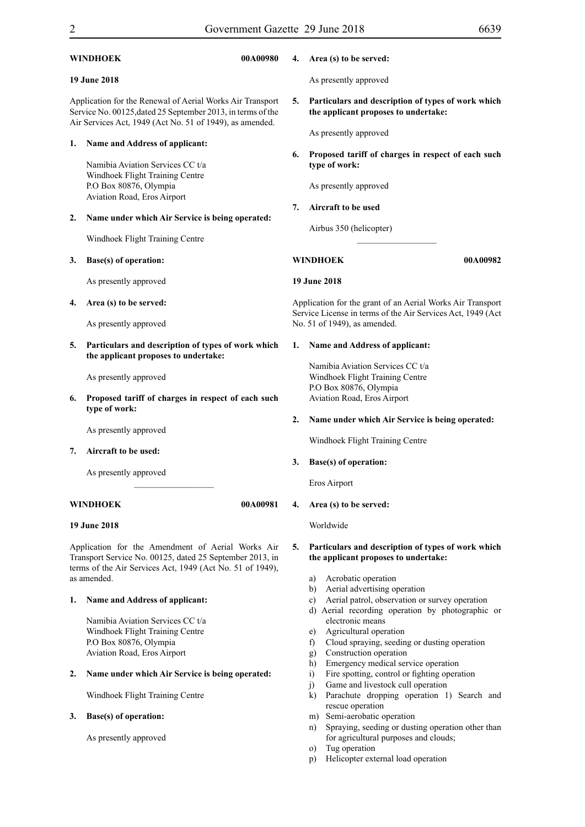Windhoek Flight Training Centre

**3. Base(s) of operation:**

As presently approved

| 00A00980<br>WINDHOEK                                                                                                                                                                      |                                                                                                                                                                | 4.       | Area (s) to be served:                                                                                                                                                                                                                            |  |
|-------------------------------------------------------------------------------------------------------------------------------------------------------------------------------------------|----------------------------------------------------------------------------------------------------------------------------------------------------------------|----------|---------------------------------------------------------------------------------------------------------------------------------------------------------------------------------------------------------------------------------------------------|--|
| <b>19 June 2018</b>                                                                                                                                                                       |                                                                                                                                                                |          | As presently approved                                                                                                                                                                                                                             |  |
| Application for the Renewal of Aerial Works Air Transport<br>Service No. 00125, dated 25 September 2013, in terms of the<br>Air Services Act, 1949 (Act No. 51 of 1949), as amended.      |                                                                                                                                                                | 5.       | Particulars and description of types of work which<br>the applicant proposes to undertake:                                                                                                                                                        |  |
| 1.                                                                                                                                                                                        | Name and Address of applicant:<br>Namibia Aviation Services CC t/a<br>Windhoek Flight Training Centre<br>P.O Box 80876, Olympia<br>Aviation Road, Eros Airport | 6.<br>7. | As presently approved<br>Proposed tariff of charges in respect of each such<br>type of work:<br>As presently approved<br>Aircraft to be used                                                                                                      |  |
| 2.                                                                                                                                                                                        | Name under which Air Service is being operated:<br>Windhoek Flight Training Centre                                                                             |          | Airbus 350 (helicopter)                                                                                                                                                                                                                           |  |
| 3.                                                                                                                                                                                        | Base(s) of operation:                                                                                                                                          |          | 00A00982<br><b>WINDHOEK</b>                                                                                                                                                                                                                       |  |
|                                                                                                                                                                                           | As presently approved                                                                                                                                          |          | <b>19 June 2018</b>                                                                                                                                                                                                                               |  |
| 4.                                                                                                                                                                                        | Area (s) to be served:                                                                                                                                         |          | Application for the grant of an Aerial Works Air Transport                                                                                                                                                                                        |  |
|                                                                                                                                                                                           | As presently approved                                                                                                                                          |          | Service License in terms of the Air Services Act, 1949 (Act<br>No. 51 of 1949), as amended.                                                                                                                                                       |  |
| 5.                                                                                                                                                                                        | Particulars and description of types of work which<br>the applicant proposes to undertake:                                                                     | 1.       | Name and Address of applicant:                                                                                                                                                                                                                    |  |
| 6.                                                                                                                                                                                        | As presently approved<br>Proposed tariff of charges in respect of each such<br>type of work:                                                                   |          | Namibia Aviation Services CC t/a<br>Windhoek Flight Training Centre<br>P.O Box 80876, Olympia<br>Aviation Road, Eros Airport                                                                                                                      |  |
| 7.                                                                                                                                                                                        | As presently approved<br>Aircraft to be used:                                                                                                                  | 2.       | Name under which Air Service is being operated:<br>Windhoek Flight Training Centre                                                                                                                                                                |  |
|                                                                                                                                                                                           | As presently approved                                                                                                                                          | 3.       | Base(s) of operation:<br>Eros Airport                                                                                                                                                                                                             |  |
| <b>WINDHOEK</b><br>00A00981                                                                                                                                                               |                                                                                                                                                                | 4.       | Area (s) to be served:                                                                                                                                                                                                                            |  |
| 19 June 2018                                                                                                                                                                              |                                                                                                                                                                |          | Worldwide                                                                                                                                                                                                                                         |  |
| Application for the Amendment of Aerial Works Air<br>Transport Service No. 00125, dated 25 September 2013, in<br>terms of the Air Services Act, 1949 (Act No. 51 of 1949),<br>as amended. |                                                                                                                                                                | 5.       | Particulars and description of types of work which<br>the applicant proposes to undertake:<br>Acrobatic operation<br>a)<br>Aerial advertising operation<br>b)                                                                                     |  |
| 1.                                                                                                                                                                                        | Name and Address of applicant:<br>Namibia Aviation Services CC t/a<br>Windhoek Flight Training Centre<br>P.O Box 80876, Olympia<br>Aviation Road, Eros Airport |          | Aerial patrol, observation or survey operation<br>c)<br>d) Aerial recording operation by photographic or<br>electronic means<br>Agricultural operation<br>e)<br>Cloud spraying, seeding or dusting operation<br>f<br>Construction operation<br>g) |  |
| 2.                                                                                                                                                                                        | Name under which Air Service is being operated:                                                                                                                |          | Emergency medical service operation<br>h)<br>Fire spotting, control or fighting operation<br>$\overline{1}$                                                                                                                                       |  |

- i) Fire spotting, control or fighting operation
- j) Game and livestock cull operation
- k) Parachute dropping operation 1) Search and rescue operation
- m) Semi-aerobatic operation
- n) Spraying, seeding or dusting operation other than for agricultural purposes and clouds;
- o) Tug operation
- p) Helicopter external load operation